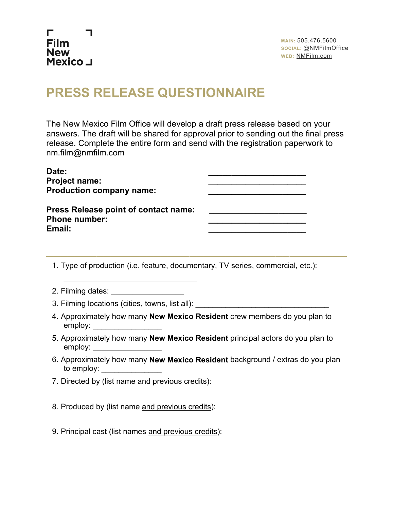

**MAIN:** 505.476.5600 **SOCIAL:** @NMFilmOffice **WEB:** NMFilm.com

## **PRESS RELEASE QUESTIONNAIRE**

The New Mexico Film Office will develop a draft press release based on your answers. The draft will be shared for approval prior to sending out the final press release. Complete the entire form and send with the registration paperwork to nm.film@nmfilm.com

| Date:                                                                         |  |
|-------------------------------------------------------------------------------|--|
| <b>Project name:</b>                                                          |  |
| <b>Production company name:</b>                                               |  |
| <b>Press Release point of contact name:</b><br><b>Phone number:</b><br>Email: |  |

1. Type of production (i.e. feature, documentary, TV series, commercial, etc.):

**\_\_\_\_\_\_\_\_\_\_\_\_\_\_\_\_\_\_\_\_\_\_\_\_\_\_\_\_\_\_\_\_\_\_\_\_\_\_\_\_\_\_**

- 2. Filming dates:
- 3. Filming locations (cities, towns, list all): \_\_\_\_\_\_\_\_\_\_\_\_\_\_\_\_\_\_\_\_\_\_\_\_\_\_\_\_\_\_\_\_

\_\_\_\_\_\_\_\_\_\_\_\_\_\_\_\_\_\_\_\_\_\_\_\_\_\_\_\_\_\_\_

- 4. Approximately how many **New Mexico Resident** crew members do you plan to employ: \_\_\_\_\_\_\_\_\_\_\_\_\_\_\_\_
- 5. Approximately how many **New Mexico Resident** principal actors do you plan to employ: \_\_\_\_\_\_\_\_\_\_\_\_\_\_\_\_
- 6. Approximately how many **New Mexico Resident** background / extras do you plan to employ:
- 7. Directed by (list name and previous credits):
- 8. Produced by (list name and previous credits):
- 9. Principal cast (list names and previous credits):